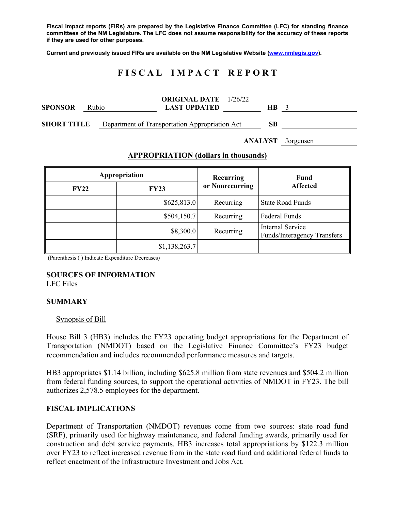**Fiscal impact reports (FIRs) are prepared by the Legislative Finance Committee (LFC) for standing finance committees of the NM Legislature. The LFC does not assume responsibility for the accuracy of these reports if they are used for other purposes.** 

**Current and previously issued FIRs are available on the NM Legislative Website (www.nmlegis.gov).** 

# **F I S C A L I M P A C T R E P O R T**

| <b>SPONSOR</b>     | Rubio | <b>ORIGINAL DATE</b> 1/26/22<br><b>LAST UPDATED</b> | <b>HB</b> |  |
|--------------------|-------|-----------------------------------------------------|-----------|--|
| <b>SHORT TITLE</b> |       | Department of Transportation Appropriation Act      | SВ        |  |

**ANALYST** Jorgensen

### **APPROPRIATION (dollars in thousands)**

|             | Appropriation | Recurring       | <b>Fund</b><br><b>Affected</b>                         |  |
|-------------|---------------|-----------------|--------------------------------------------------------|--|
| <b>FY22</b> | <b>FY23</b>   | or Nonrecurring |                                                        |  |
|             | \$625,813.0   | Recurring       | <b>State Road Funds</b>                                |  |
|             | \$504,150.7   | Recurring       | <b>Federal Funds</b>                                   |  |
|             | \$8,300.0     | Recurring       | <b>Internal Service</b><br>Funds/Interagency Transfers |  |
|             | \$1,138,263.7 |                 |                                                        |  |

(Parenthesis ( ) Indicate Expenditure Decreases)

#### **SOURCES OF INFORMATION**  LFC Files

### **SUMMARY**

#### Synopsis of Bill

House Bill 3 (HB3) includes the FY23 operating budget appropriations for the Department of Transportation (NMDOT) based on the Legislative Finance Committee's FY23 budget recommendation and includes recommended performance measures and targets.

HB3 appropriates \$1.14 billion, including \$625.8 million from state revenues and \$504.2 million from federal funding sources, to support the operational activities of NMDOT in FY23. The bill authorizes 2,578.5 employees for the department.

# **FISCAL IMPLICATIONS**

Department of Transportation (NMDOT) revenues come from two sources: state road fund (SRF), primarily used for highway maintenance, and federal funding awards, primarily used for construction and debt service payments. HB3 increases total appropriations by \$122.3 million over FY23 to reflect increased revenue from in the state road fund and additional federal funds to reflect enactment of the Infrastructure Investment and Jobs Act.